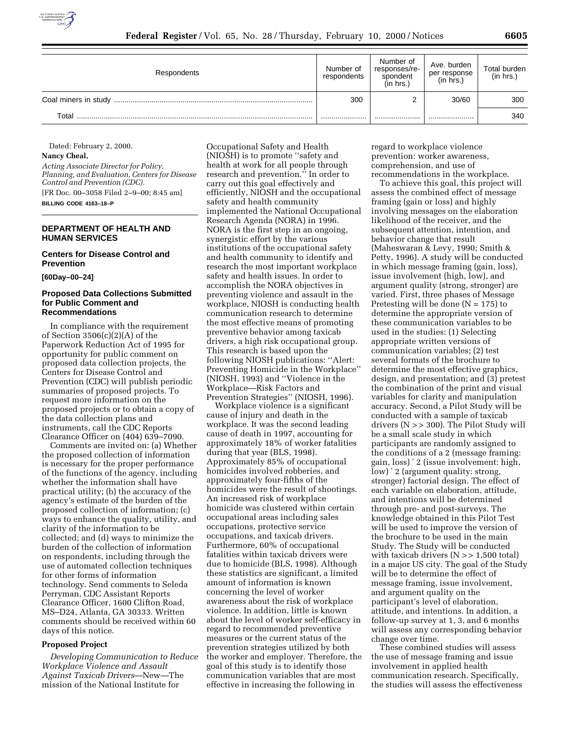

| Respondents          | Number of<br>respondents | Number of<br>responses/re-<br>spondent<br>(in hrs.) | Ave. burden<br>per response<br>(in hrs.) | Total burden<br>(in hrs.) |
|----------------------|--------------------------|-----------------------------------------------------|------------------------------------------|---------------------------|
| Coal miners in study | 300                      |                                                     | 30/60                                    | 300                       |
| Total                |                          |                                                     |                                          | 340                       |

Dated: February 2, 2000. **Nancy Cheal,**

*Acting Associate Director for Policy, Planning, and Evaluation, Centers for Disease Control and Prevention (CDC).* [FR Doc. 00–3058 Filed 2–9–00; 8:45 am] **BILLING CODE 4163–18–P**

## **DEPARTMENT OF HEALTH AND HUMAN SERVICES**

**Centers for Disease Control and Prevention**

**[60Day–00–24]**

#### **Proposed Data Collections Submitted for Public Comment and Recommendations**

In compliance with the requirement of Section 3506(c)(2)(A) of the Paperwork Reduction Act of 1995 for opportunity for public comment on proposed data collection projects, the Centers for Disease Control and Prevention (CDC) will publish periodic summaries of proposed projects. To request more information on the proposed projects or to obtain a copy of the data collection plans and instruments, call the CDC Reports Clearance Officer on (404) 639–7090.

Comments are invited on: (a) Whether the proposed collection of information is necessary for the proper performance of the functions of the agency, including whether the information shall have practical utility; (b) the accuracy of the agency's estimate of the burden of the proposed collection of information; (c) ways to enhance the quality, utility, and clarity of the information to be collected; and (d) ways to minimize the burden of the collection of information on respondents, including through the use of automated collection techniques for other forms of information technology. Send comments to Seleda Perryman, CDC Assistant Reports Clearance Officer, 1600 Clifton Road, MS–D24, Atlanta, GA 30333. Written comments should be received within 60 days of this notice.

#### **Proposed Project**

*Developing Communication to Reduce Workplace Violence and Assault Against Taxicab Drivers*—New—The mission of the National Institute for

Occupational Safety and Health (NIOSH) is to promote ''safety and health at work for all people through research and prevention.'' In order to carry out this goal effectively and efficiently, NIOSH and the occupational safety and health community implemented the National Occupational Research Agenda (NORA) in 1996. NORA is the first step in an ongoing, synergistic effort by the various institutions of the occupational safety and health community to identify and research the most important workplace safety and health issues. In order to accomplish the NORA objectives in preventing violence and assault in the workplace, NIOSH is conducting health communication research to determine the most effective means of promoting preventive behavior among taxicab drivers, a high risk occupational group. This research is based upon the following NIOSH publications: ''Alert: Preventing Homicide in the Workplace'' (NIOSH, 1993) and ''Violence in the Workplace—Risk Factors and Prevention Strategies'' (NIOSH, 1996).

Workplace violence is a significant cause of injury and death in the workplace. It was the second leading cause of death in 1997, accounting for approximately 18% of worker fatalities during that year (BLS, 1998). Approximately 85% of occupational homicides involved robberies, and approximately four-fifths of the homicides were the result of shootings. An increased risk of workplace homicide was clustered within certain occupational areas including sales occupations, protective service occupations, and taxicab drivers. Furthermore, 60% of occupational fatalities within taxicab drivers were due to homicide (BLS, 1998). Although these statistics are significant, a limited amount of information is known concerning the level of worker awareness about the risk of workplace violence. In addition, little is known about the level of worker self-efficacy in regard to recommended preventive measures or the current status of the prevention strategies utilized by both the worker and employer. Therefore, the goal of this study is to identify those communication variables that are most effective in increasing the following in

regard to workplace violence prevention: worker awareness, comprehension, and use of recommendations in the workplace.

To achieve this goal, this project will assess the combined effect of message framing (gain or loss) and highly involving messages on the elaboration likelihood of the receiver, and the subsequent attention, intention, and behavior change that result (Maheswaran & Levy, 1990; Smith & Petty, 1996). A study will be conducted in which message framing (gain, loss), issue involvement (high, low), and argument quality (strong, stronger) are varied. First, three phases of Message Pretesting will be done  $(N = 175)$  to determine the appropriate version of these communication variables to be used in the studies: (1) Selecting appropriate written versions of communication variables; (2) test several formats of the brochure to determine the most effective graphics, design, and presentation; and (3) pretest the combination of the print and visual variables for clarity and manipulation accuracy. Second, a Pilot Study will be conducted with a sample of taxicab drivers  $(N > 300)$ . The Pilot Study will be a small scale study in which participants are randomly assigned to the conditions of a 2 (message framing: gain, loss) ′ 2 (issue involvement: high, low) ′ 2 (argument quality: strong, stronger) factorial design. The effect of each variable on elaboration, attitude, and intentions will be determined through pre- and post-surveys. The knowledge obtained in this Pilot Test will be used to improve the version of the brochure to be used in the main Study. The Study will be conducted with taxicab drivers  $(N \gg 1,500 \text{ total})$ in a major US city. The goal of the Study will be to determine the effect of message framing, issue involvement, and argument quality on the participant's level of elaboration, attitude, and intentions. In addition, a follow-up survey at 1, 3, and 6 months will assess any corresponding behavior change over time.

These combined studies will assess the use of message framing and issue involvement in applied health communication research. Specifically, the studies will assess the effectiveness